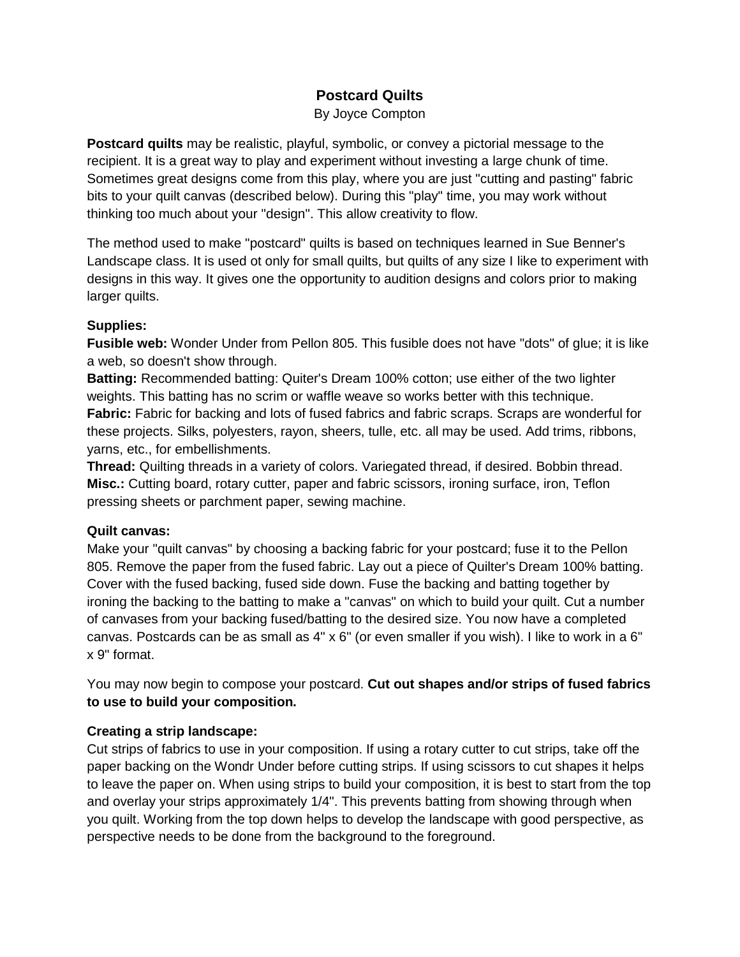# **Postcard Quilts**

By Joyce Compton

**Postcard quilts** may be realistic, playful, symbolic, or convey a pictorial message to the recipient. It is a great way to play and experiment without investing a large chunk of time. Sometimes great designs come from this play, where you are just "cutting and pasting" fabric bits to your quilt canvas (described below). During this "play" time, you may work without thinking too much about your "design". This allow creativity to flow.

The method used to make "postcard" quilts is based on techniques learned in Sue Benner's Landscape class. It is used ot only for small quilts, but quilts of any size I like to experiment with designs in this way. It gives one the opportunity to audition designs and colors prior to making larger quilts.

### **Supplies:**

**Fusible web:** Wonder Under from Pellon 805. This fusible does not have "dots" of glue; it is like a web, so doesn't show through.

**Batting:** Recommended batting: Quiter's Dream 100% cotton; use either of the two lighter weights. This batting has no scrim or waffle weave so works better with this technique. **Fabric:** Fabric for backing and lots of fused fabrics and fabric scraps. Scraps are wonderful for these projects. Silks, polyesters, rayon, sheers, tulle, etc. all may be used. Add trims, ribbons, yarns, etc., for embellishments.

**Thread:** Quilting threads in a variety of colors. Variegated thread, if desired. Bobbin thread. **Misc.:** Cutting board, rotary cutter, paper and fabric scissors, ironing surface, iron, Teflon pressing sheets or parchment paper, sewing machine.

#### **Quilt canvas:**

Make your "quilt canvas" by choosing a backing fabric for your postcard; fuse it to the Pellon 805. Remove the paper from the fused fabric. Lay out a piece of Quilter's Dream 100% batting. Cover with the fused backing, fused side down. Fuse the backing and batting together by ironing the backing to the batting to make a "canvas" on which to build your quilt. Cut a number of canvases from your backing fused/batting to the desired size. You now have a completed canvas. Postcards can be as small as 4" x 6" (or even smaller if you wish). I like to work in a 6" x 9" format.

You may now begin to compose your postcard. **Cut out shapes and/or strips of fused fabrics to use to build your composition.**

## **Creating a strip landscape:**

Cut strips of fabrics to use in your composition. If using a rotary cutter to cut strips, take off the paper backing on the Wondr Under before cutting strips. If using scissors to cut shapes it helps to leave the paper on. When using strips to build your composition, it is best to start from the top and overlay your strips approximately 1/4". This prevents batting from showing through when you quilt. Working from the top down helps to develop the landscape with good perspective, as perspective needs to be done from the background to the foreground.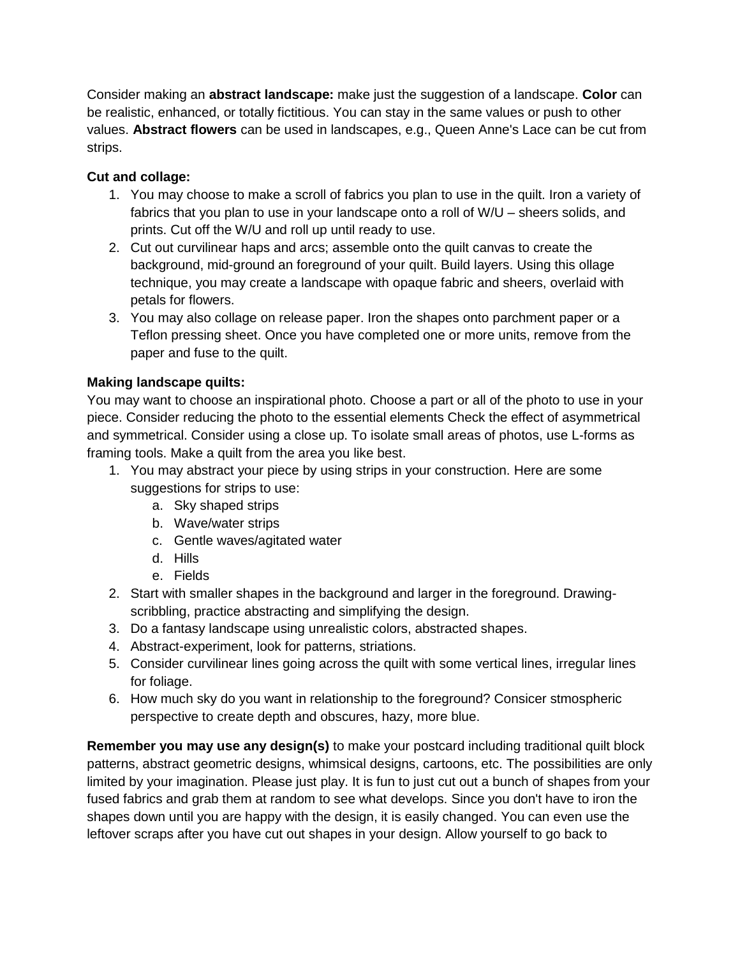Consider making an **abstract landscape:** make just the suggestion of a landscape. **Color** can be realistic, enhanced, or totally fictitious. You can stay in the same values or push to other values. **Abstract flowers** can be used in landscapes, e.g., Queen Anne's Lace can be cut from strips.

# **Cut and collage:**

- 1. You may choose to make a scroll of fabrics you plan to use in the quilt. Iron a variety of fabrics that you plan to use in your landscape onto a roll of W/U – sheers solids, and prints. Cut off the W/U and roll up until ready to use.
- 2. Cut out curvilinear haps and arcs; assemble onto the quilt canvas to create the background, mid-ground an foreground of your quilt. Build layers. Using this ollage technique, you may create a landscape with opaque fabric and sheers, overlaid with petals for flowers.
- 3. You may also collage on release paper. Iron the shapes onto parchment paper or a Teflon pressing sheet. Once you have completed one or more units, remove from the paper and fuse to the quilt.

# **Making landscape quilts:**

You may want to choose an inspirational photo. Choose a part or all of the photo to use in your piece. Consider reducing the photo to the essential elements Check the effect of asymmetrical and symmetrical. Consider using a close up. To isolate small areas of photos, use L-forms as framing tools. Make a quilt from the area you like best.

- 1. You may abstract your piece by using strips in your construction. Here are some suggestions for strips to use:
	- a. Sky shaped strips
	- b. Wave/water strips
	- c. Gentle waves/agitated water
	- d. Hills
	- e. Fields
- 2. Start with smaller shapes in the background and larger in the foreground. Drawingscribbling, practice abstracting and simplifying the design.
- 3. Do a fantasy landscape using unrealistic colors, abstracted shapes.
- 4. Abstract-experiment, look for patterns, striations.
- 5. Consider curvilinear lines going across the quilt with some vertical lines, irregular lines for foliage.
- 6. How much sky do you want in relationship to the foreground? Consicer stmospheric perspective to create depth and obscures, hazy, more blue.

**Remember you may use any design(s)** to make your postcard including traditional quilt block patterns, abstract geometric designs, whimsical designs, cartoons, etc. The possibilities are only limited by your imagination. Please just play. It is fun to just cut out a bunch of shapes from your fused fabrics and grab them at random to see what develops. Since you don't have to iron the shapes down until you are happy with the design, it is easily changed. You can even use the leftover scraps after you have cut out shapes in your design. Allow yourself to go back to